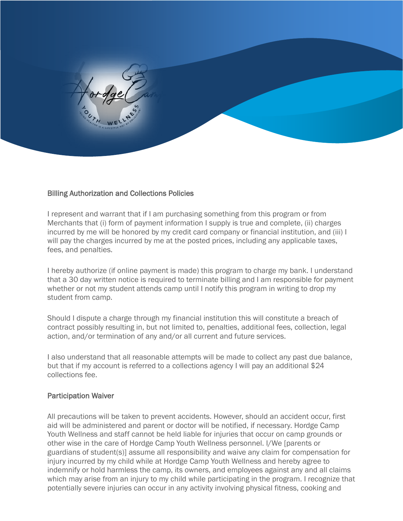

# Billing Authorization and Collections Policies

I represent and warrant that if I am purchasing something from this program or from Merchants that (i) form of payment information I supply is true and complete, (ii) charges incurred by me will be honored by my credit card company or financial institution, and (iii) I will pay the charges incurred by me at the posted prices, including any applicable taxes, fees, and penalties.

I hereby authorize (if online payment is made) this program to charge my bank. I understand that a 30 day written notice is required to terminate billing and I am responsible for payment whether or not my student attends camp until I notify this program in writing to drop my student from camp.

Should I dispute a charge through my financial institution this will constitute a breach of contract possibly resulting in, but not limited to, penalties, additional fees, collection, legal action, and/or termination of any and/or all current and future services.

I also understand that all reasonable attempts will be made to collect any past due balance, but that if my account is referred to a collections agency I will pay an additional \$24 collections fee.

# Participation Waiver

All precautions will be taken to prevent accidents. However, should an accident occur, first aid will be administered and parent or doctor will be notified, if necessary. Hordge Camp Youth Wellness and staff cannot be held liable for injuries that occur on camp grounds or other wise in the care of Hordge Camp Youth Wellness personnel. I/We [parents or guardians of student(s)] assume all responsibility and waive any claim for compensation for injury incurred by my child while at Hordge Camp Youth Wellness and hereby agree to indemnify or hold harmless the camp, its owners, and employees against any and all claims which may arise from an injury to my child while participating in the program. I recognize that potentially severe injuries can occur in any activity involving physical fitness, cooking and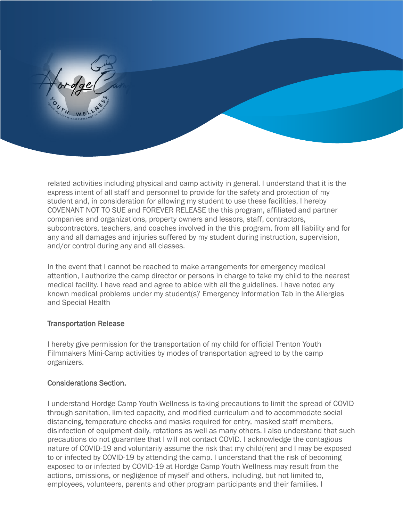

related activities including physical and camp activity in general. I understand that it is the express intent of all staff and personnel to provide for the safety and protection of my student and, in consideration for allowing my student to use these facilities, I hereby COVENANT NOT TO SUE and FOREVER RELEASE the this program, affiliated and partner companies and organizations, property owners and lessors, staff, contractors, subcontractors, teachers, and coaches involved in the this program, from all liability and for any and all damages and injuries suffered by my student during instruction, supervision, and/or control during any and all classes.

In the event that I cannot be reached to make arrangements for emergency medical attention, I authorize the camp director or persons in charge to take my child to the nearest medical facility. I have read and agree to abide with all the guidelines. I have noted any known medical problems under my student(s)' Emergency Information Tab in the Allergies and Special Health

# Transportation Release

I hereby give permission for the transportation of my child for official Trenton Youth Filmmakers Mini-Camp activities by modes of transportation agreed to by the camp organizers.

# Considerations Section.

I understand Hordge Camp Youth Wellness is taking precautions to limit the spread of COVID through sanitation, limited capacity, and modified curriculum and to accommodate social distancing, temperature checks and masks required for entry, masked staff members, disinfection of equipment daily, rotations as well as many others. I also understand that such precautions do not guarantee that I will not contact COVID. I acknowledge the contagious nature of COVID-19 and voluntarily assume the risk that my child(ren) and I may be exposed to or infected by COVID-19 by attending the camp. I understand that the risk of becoming exposed to or infected by COVID-19 at Hordge Camp Youth Wellness may result from the actions, omissions, or negligence of myself and others, including, but not limited to, employees, volunteers, parents and other program participants and their families. I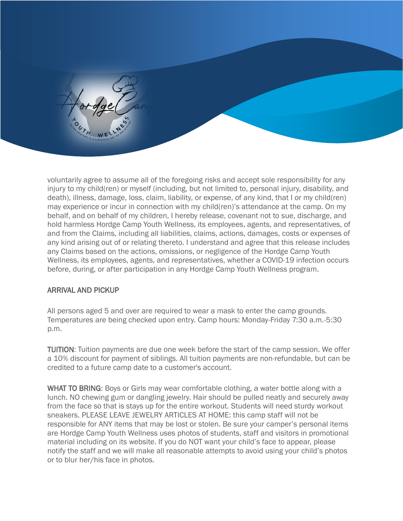

voluntarily agree to assume all of the foregoing risks and accept sole responsibility for any injury to my child(ren) or myself (including, but not limited to, personal injury, disability, and death), illness, damage, loss, claim, liability, or expense, of any kind, that I or my child(ren) may experience or incur in connection with my child(ren)'s attendance at the camp. On my behalf, and on behalf of my children, I hereby release, covenant not to sue, discharge, and hold harmless Hordge Camp Youth Wellness, its employees, agents, and representatives, of and from the Claims, including all liabilities, claims, actions, damages, costs or expenses of any kind arising out of or relating thereto. I understand and agree that this release includes any Claims based on the actions, omissions, or negligence of the Hordge Camp Youth Wellness, its employees, agents, and representatives, whether a COVID-19 infection occurs before, during, or after participation in any Hordge Camp Youth Wellness program.

# ARRIVAL AND PICKUP

All persons aged 5 and over are required to wear a mask to enter the camp grounds. Temperatures are being checked upon entry. Camp hours: Monday-Friday 7:30 a.m.-5:30 p.m.

TUITION: Tuition payments are due one week before the start of the camp session. We offer a 10% discount for payment of siblings. All tuition payments are non-refundable, but can be credited to a future camp date to a customer's account.

WHAT TO BRING: Boys or Girls may wear comfortable clothing, a water bottle along with a lunch. NO chewing gum or dangling jewelry. Hair should be pulled neatly and securely away from the face so that is stays up for the entire workout. Students will need sturdy workout sneakers. PLEASE LEAVE JEWELRY ARTICLES AT HOME: this camp staff will not be responsible for ANY items that may be lost or stolen. Be sure your camper's personal items are Hordge Camp Youth Wellness uses photos of students, staff and visitors in promotional material including on its website. If you do NOT want your child's face to appear, please notify the staff and we will make all reasonable attempts to avoid using your child's photos or to blur her/his face in photos.